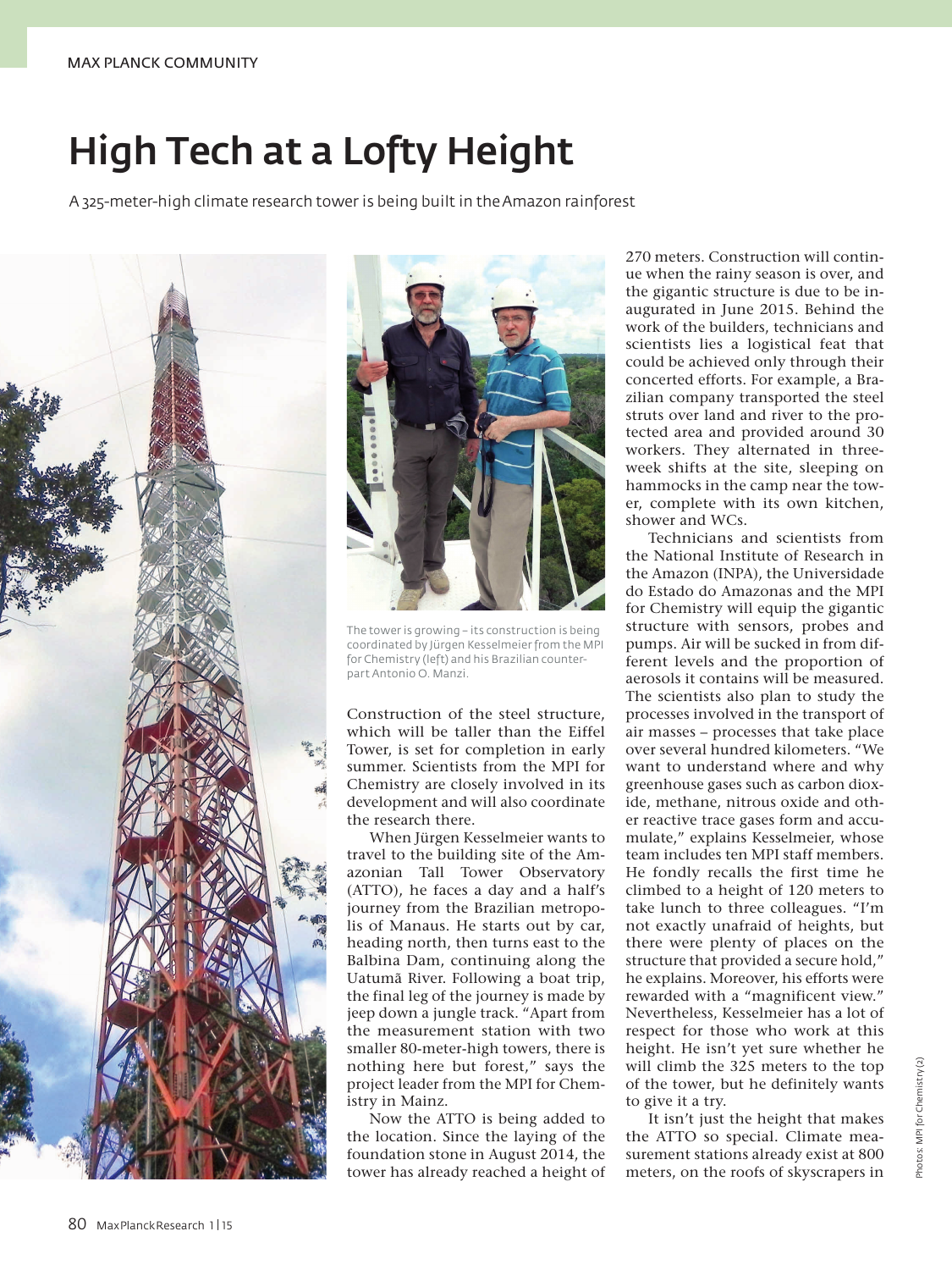## High Tech at a Lofty Height

A 325-meter-high climate research tower is being built in the Amazon rainforest





The tower is growing – its construction is being coordinated by Jürgen Kesselmeier from the MPI for Chemistry (left) and his Brazilian counterpart Antonio O. Manzi.

Construction of the steel structure, which will be taller than the Eiffel Tower, is set for completion in early summer. Scientists from the MPI for Chemistry are closely involved in its development and will also coordinate the research there.

When Jürgen Kesselmeier wants to travel to the building site of the Amazonian Tall Tower Observatory (ATTO), he faces a day and a half's journey from the Brazilian metropolis of Manaus. He starts out by car, heading north, then turns east to the Balbina Dam, continuing along the Uatumã River. Following a boat trip, the final leg of the journey is made by jeep down a jungle track. "Apart from the measurement station with two smaller 80-meter-high towers, there is nothing here but forest," says the project leader from the MPI for Chemistry in Mainz.

Now the ATTO is being added to the location. Since the laying of the foundation stone in August 2014, the tower has already reached a height of 270 meters. Construction will continue when the rainy season is over, and the gigantic structure is due to be inaugurated in June 2015. Behind the work of the builders, technicians and scientists lies a logistical feat that could be achieved only through their concerted efforts. For example, a Brazilian company transported the steel struts over land and river to the protected area and provided around 30 workers. They alternated in threeweek shifts at the site, sleeping on hammocks in the camp near the tower, complete with its own kitchen, shower and WCs.

Technicians and scientists from the National Institute of Research in the Amazon (INPA), the Universidade do Estado do Amazonas and the MPI for Chemistry will equip the gigantic structure with sensors, probes and pumps. Air will be sucked in from different levels and the proportion of aerosols it contains will be measured. The scientists also plan to study the processes involved in the transport of air masses – processes that take place over several hundred kilometers. "We want to understand where and why greenhouse gases such as carbon dioxide, methane, nitrous oxide and other reactive trace gases form and accumulate," explains Kesselmeier, whose team includes ten MPI staff members. He fondly recalls the first time he climbed to a height of 120 meters to take lunch to three colleagues. "I'm not exactly unafraid of heights, but there were plenty of places on the structure that provided a secure hold," he explains. Moreover, his efforts were rewarded with a "magnificent view." Nevertheless, Kesselmeier has a lot of respect for those who work at this height. He isn't yet sure whether he will climb the 325 meters to the top of the tower, but he definitely wants to give it a try.

It isn't just the height that makes the ATTO so special. Climate measurement stations already exist at 800 meters, on the roofs of skyscrapers in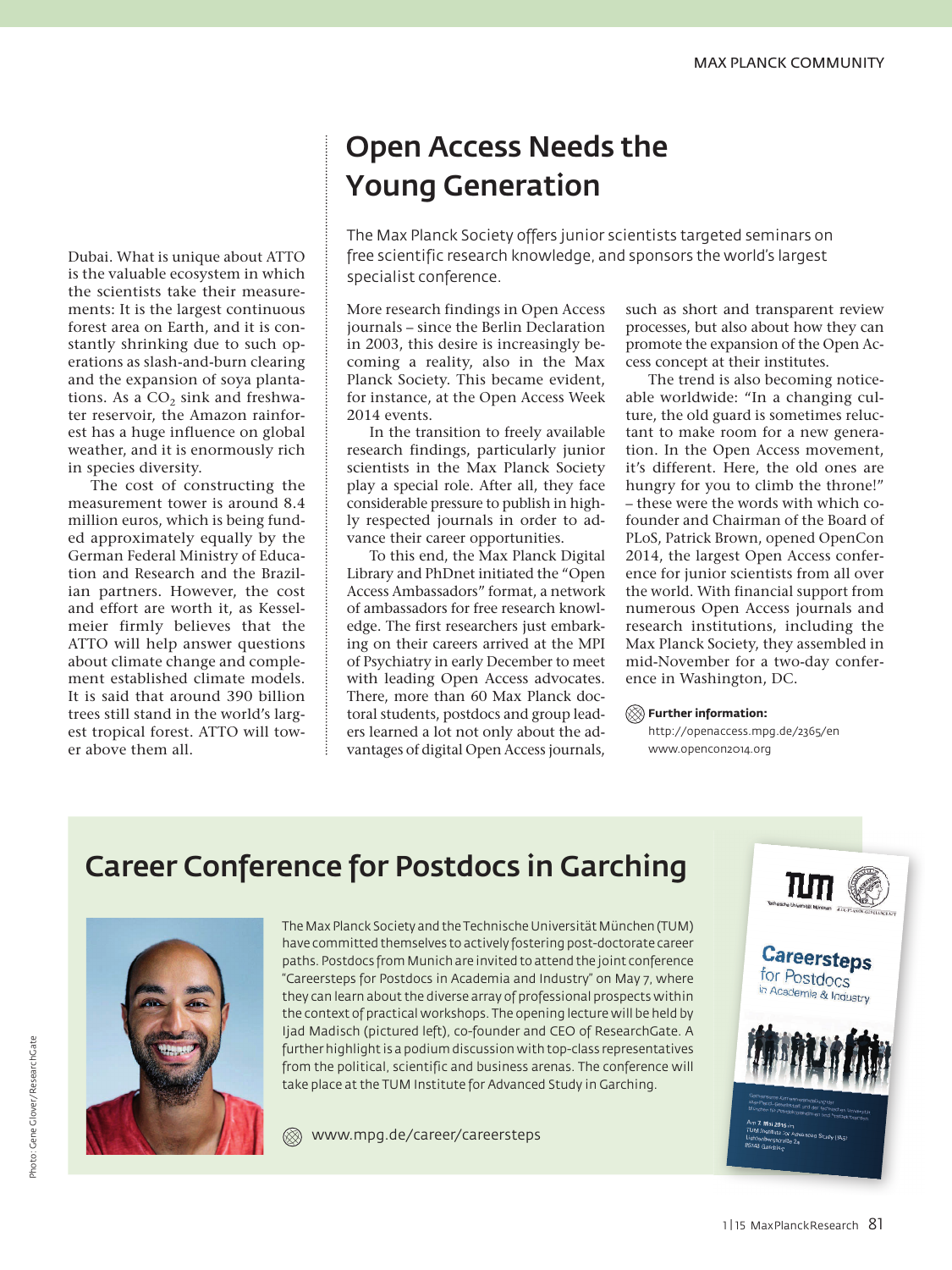Dubai. What is unique about ATTO is the valuable ecosystem in which the scientists take their measurements: It is the largest continuous forest area on Earth, and it is constantly shrinking due to such operations as slash-and-burn clearing and the expansion of soya plantations. As a CO<sub>2</sub> sink and freshwater reservoir, the Amazon rainforest has a huge influence on global weather, and it is enormously rich in species diversity.

The cost of constructing the measurement tower is around 8.4 million euros, which is being funded approximately equally by the German Federal Ministry of Education and Research and the Brazilian partners. However, the cost and effort are worth it, as Kesselmeier firmly believes that the ATTO will help answer questions about climate change and complement established climate models. It is said that around 390 billion trees still stand in the world's largest tropical forest. ATTO will tower above them all.

## Open Access Needs the Young Generation

The Max Planck Society offers junior scientists targeted seminars on free scientific research knowledge, and sponsors the world's largest specialist conference.

More research findings in Open Access journals – since the Berlin Declaration in 2003, this desire is increasingly becoming a reality, also in the Max Planck Society. This became evident, for instance, at the Open Access Week 2014 events.

In the transition to freely available research findings, particularly junior scientists in the Max Planck Society play a special role. After all, they face considerable pressure to publish in highly respected journals in order to advance their career opportunities.

To this end, the Max Planck Digital Library and PhDnet initiated the "Open Access Ambassadors" format, a network of ambassadors for free research knowledge. The first researchers just embarking on their careers arrived at the MPI of Psychiatry in early December to meet with leading Open Access advocates. There, more than 60 Max Planck doctoral students, postdocs and group leaders learned a lot not only about the advantages of digital Open Access journals,

such as short and transparent review processes, but also about how they can promote the expansion of the Open Access concept at their institutes.

The trend is also becoming noticeable worldwide: "In a changing culture, the old guard is sometimes reluctant to make room for a new generation. In the Open Access movement, it's different. Here, the old ones are hungry for you to climb the throne!" – these were the words with which cofounder and Chairman of the Board of PLoS, Patrick Brown, opened OpenCon 2014, the largest Open Access conference for junior scientists from all over the world. With financial support from numerous Open Access journals and research institutions, including the Max Planck Society, they assembled in mid-November for a two-day conference in Washington, DC.

**Further information:**

http://openaccess.mpg.de/2365/en www.opencon2014.org

## Career Conference for Postdocs in Garching



The Max Planck Society and the Technische Universität München (TUM) have committed themselves to actively fostering post-doctorate career paths. Postdocs from Munich are invited to attend the joint conference "Careersteps for Postdocs in Academia and Industry" on May 7, where they can learn about the diverse array of professional prospects within the context of practical workshops. The opening lecture will be held by Ijad Madisch (pictured left), co-founder and CEO of ResearchGate. A further highlight is a podium discussion with top-class representatives from the political, scientific and business arenas. The conference will take place at the TUM Institute for Advanced Study in Garching.

 $\otimes$ www.mpg.de/career/careersteps